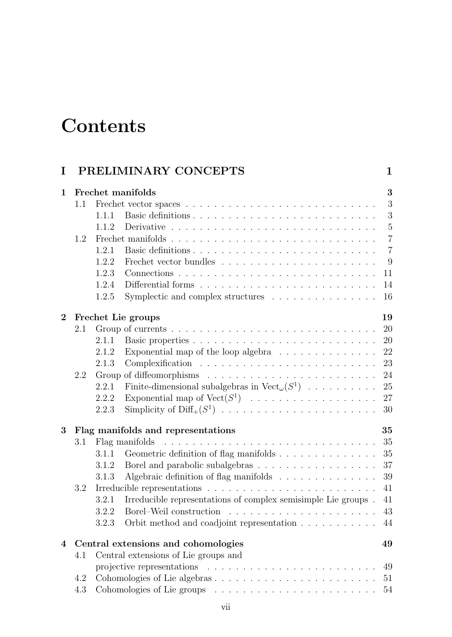## **Contents**

| I                       |         | PRELIMINARY CONCEPTS                                                                         | 1              |
|-------------------------|---------|----------------------------------------------------------------------------------------------|----------------|
| $\mathbf{1}$            |         | Frechet manifolds                                                                            | 3              |
|                         | $1.1\,$ |                                                                                              | 3              |
|                         |         | 1.1.1                                                                                        | 3              |
|                         |         | 1.1.2                                                                                        | $\bf 5$        |
|                         | 1.2     |                                                                                              | $\overline{7}$ |
|                         |         | 1.2.1                                                                                        | $\overline{7}$ |
|                         |         | 1.2.2                                                                                        | 9              |
|                         |         | 1.2.3                                                                                        | 11             |
|                         |         | 1.2.4                                                                                        | 14             |
|                         |         | Symplectic and complex structures<br>1.2.5                                                   | 16             |
| $\bf{2}$                |         | Frechet Lie groups                                                                           | 19             |
|                         | 2.1     |                                                                                              | 20             |
|                         |         | 2.1.1                                                                                        | 20             |
|                         |         | Exponential map of the loop algebra $\ldots \ldots \ldots \ldots$<br>2.1.2                   | 22             |
|                         |         | 2.1.3                                                                                        | 23             |
|                         | 2.2     |                                                                                              | 24             |
|                         |         | Finite-dimensional subalgebras in $Vect_{\omega}(S^1)$<br>2.2.1                              | 25             |
|                         |         | Exponential map of $Vect(S^1)$<br>2.2.2                                                      | 27             |
|                         |         | Simplicity of $\text{Diff}_+(S^1)$<br>2.2.3                                                  | 30             |
| 3                       |         | Flag manifolds and representations                                                           | 35             |
|                         | 3.1     | Flag manifolds                                                                               | 35             |
|                         |         | 3.1.1                                                                                        | 35             |
|                         |         | 3.1.2                                                                                        | 37             |
|                         |         | Algebraic definition of flag manifolds $\ldots \ldots \ldots \ldots \ldots$<br>3.1.3         | $39\,$         |
|                         | 3.2     | Irreducible representations $\ldots \ldots \ldots \ldots \ldots \ldots \ldots \ldots \ldots$ | 41             |
|                         |         | Irreducible representations of complex semisimple Lie groups.<br>3.2.1                       | $41\,$         |
|                         |         | 3.2.2                                                                                        | 43             |
|                         |         | 3.2.3<br>Orbit method and coadjoint representation                                           | 44             |
| $\overline{\mathbf{4}}$ |         | Central extensions and cohomologies                                                          | 49             |
|                         | 4.1     | Central extensions of Lie groups and                                                         |                |
|                         |         |                                                                                              | 49             |
|                         | 4.2     |                                                                                              | 51             |
|                         | 4.3     |                                                                                              | 54             |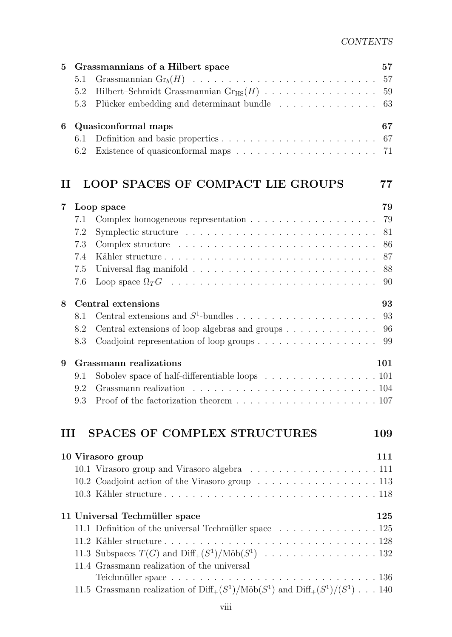| 5           | Grassmannians of a Hilbert space                                                                        | 57       |  |
|-------------|---------------------------------------------------------------------------------------------------------|----------|--|
|             | 5.1                                                                                                     | 57       |  |
|             | Hilbert-Schmidt Grassmannian $Gr_{HS}(H)$<br>5.2                                                        | 59       |  |
|             | Plücker embedding and determinant bundle<br>5.3                                                         | 63       |  |
| 6           | Quasiconformal maps                                                                                     | 67       |  |
|             | 6.1                                                                                                     |          |  |
|             | 6.2                                                                                                     |          |  |
| $\mathbf H$ | <b>LOOP SPACES OF COMPACT LIE GROUPS</b>                                                                | 77       |  |
|             |                                                                                                         |          |  |
| 7           | Loop space                                                                                              | 79<br>79 |  |
|             | 7.1                                                                                                     |          |  |
|             | 7.2                                                                                                     | 81<br>86 |  |
|             | 7.3                                                                                                     |          |  |
|             | 7.4                                                                                                     | 87       |  |
|             | 7.5                                                                                                     | 88       |  |
|             | 7.6                                                                                                     | 90       |  |
| 8           | Central extensions                                                                                      | 93       |  |
|             | 8.1                                                                                                     | 93       |  |
|             | Central extensions of loop algebras and groups<br>8.2                                                   | 96       |  |
|             | 8.3                                                                                                     | 99       |  |
| 9           | <b>Grassmann</b> realizations                                                                           | 101      |  |
|             | 9.1                                                                                                     |          |  |
|             | 9.2                                                                                                     |          |  |
|             | Proof of the factorization theorem $\ldots \ldots \ldots \ldots \ldots \ldots \ldots 107$<br>9.3        |          |  |
| Ш           | <b>SPACES OF COMPLEX STRUCTURES</b>                                                                     | 109      |  |
|             |                                                                                                         |          |  |
|             | 10 Virasoro group                                                                                       | 111      |  |
|             | 10.1 Virasoro group and Virasoro algebra 111                                                            |          |  |
|             | 10.2 Coadjoint action of the Virasoro group 113                                                         |          |  |
|             |                                                                                                         |          |  |
|             | 11 Universal Techmüller space                                                                           |          |  |
|             | 11.1 Definition of the universal Techmüller space 125                                                   |          |  |
|             |                                                                                                         |          |  |
|             |                                                                                                         |          |  |
|             | 11.4 Grassmann realization of the universal                                                             |          |  |
|             |                                                                                                         |          |  |
|             | 11.5 Grassmann realization of $\text{Diff}_+(S^1)/\text{M\"ob}(S^1)$ and $\text{Diff}_+(S^1)/(S^1)$ 140 |          |  |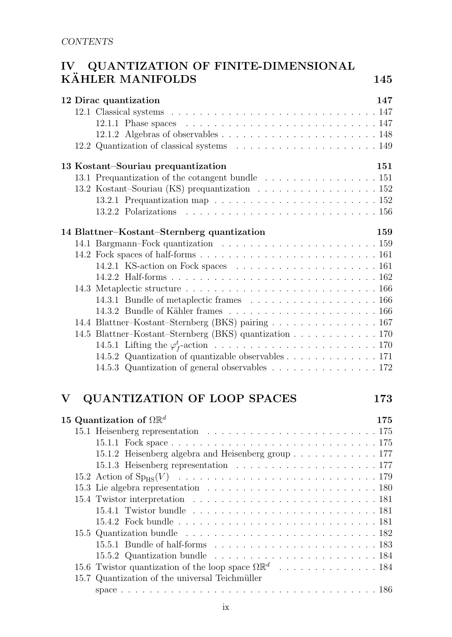## IV QUANTIZATION OF FINITE-DIMENSIONAL KÄHLER MANIFOLDS 145

|  | 12 Dirac quantization                                                                           | 147 |
|--|-------------------------------------------------------------------------------------------------|-----|
|  |                                                                                                 |     |
|  | 12.1.1 Phase spaces $\ldots \ldots \ldots \ldots \ldots \ldots \ldots \ldots \ldots \ldots 147$ |     |
|  |                                                                                                 |     |
|  |                                                                                                 |     |
|  | 13 Kostant-Souriau prequantization                                                              | 151 |
|  | 13.1 Prequantization of the cotangent bundle 151                                                |     |
|  | 13.2 Kostant–Souriau (KS) prequantization 152                                                   |     |
|  | 13.2.1 Prequantization map $\ldots \ldots \ldots \ldots \ldots \ldots \ldots \ldots 152$        |     |
|  |                                                                                                 |     |
|  | 14 Blattner–Kostant–Sternberg quantization                                                      | 159 |
|  |                                                                                                 |     |
|  |                                                                                                 |     |
|  |                                                                                                 |     |
|  |                                                                                                 |     |
|  |                                                                                                 |     |
|  |                                                                                                 |     |
|  |                                                                                                 |     |
|  | 14.4 Blattner-Kostant-Sternberg (BKS) pairing 167                                               |     |
|  | 14.5 Blattner-Kostant-Sternberg (BKS) quantization 170                                          |     |
|  |                                                                                                 |     |
|  | 14.5.2 Quantization of quantizable observables 171                                              |     |
|  | 14.5.3 Quantization of general observables 172                                                  |     |
|  |                                                                                                 |     |

## V QUANTIZATION OF LOOP SPACES 173

|  | 15 Quantization of $\Omega \mathbb{R}^d$                                                 | 175 |
|--|------------------------------------------------------------------------------------------|-----|
|  |                                                                                          |     |
|  |                                                                                          |     |
|  | 15.1.2 Heisenberg algebra and Heisenberg group 177                                       |     |
|  |                                                                                          |     |
|  |                                                                                          |     |
|  |                                                                                          |     |
|  |                                                                                          |     |
|  |                                                                                          |     |
|  |                                                                                          |     |
|  |                                                                                          |     |
|  |                                                                                          |     |
|  | 15.5.2 Quantization bundle $\ldots \ldots \ldots \ldots \ldots \ldots \ldots \ldots 184$ |     |
|  |                                                                                          |     |
|  | 15.7 Quantization of the universal Teichmüller                                           |     |
|  |                                                                                          |     |